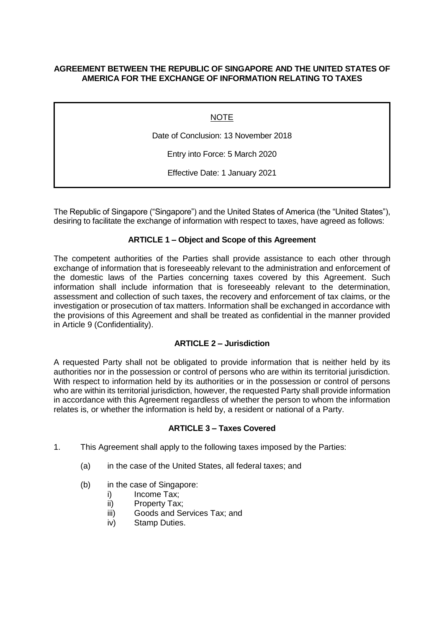# **AGREEMENT BETWEEN THE REPUBLIC OF SINGAPORE AND THE UNITED STATES OF AMERICA FOR THE EXCHANGE OF INFORMATION RELATING TO TAXES**

**NOTE** 

Date of Conclusion: 13 November 2018

Entry into Force: 5 March 2020

Effective Date: 1 January 2021

The Republic of Singapore ("Singapore") and the United States of America (the "United States"), desiring to facilitate the exchange of information with respect to taxes, have agreed as follows:

# **ARTICLE 1 – Object and Scope of this Agreement**

The competent authorities of the Parties shall provide assistance to each other through exchange of information that is foreseeably relevant to the administration and enforcement of the domestic laws of the Parties concerning taxes covered by this Agreement. Such information shall include information that is foreseeably relevant to the determination, assessment and collection of such taxes, the recovery and enforcement of tax claims, or the investigation or prosecution of tax matters. Information shall be exchanged in accordance with the provisions of this Agreement and shall be treated as confidential in the manner provided in Article 9 (Confidentiality).

### **ARTICLE 2 – Jurisdiction**

A requested Party shall not be obligated to provide information that is neither held by its authorities nor in the possession or control of persons who are within its territorial jurisdiction. With respect to information held by its authorities or in the possession or control of persons who are within its territorial jurisdiction, however, the requested Party shall provide information in accordance with this Agreement regardless of whether the person to whom the information relates is, or whether the information is held by, a resident or national of a Party.

### **ARTICLE 3 – Taxes Covered**

- 1. This Agreement shall apply to the following taxes imposed by the Parties:
	- (a) in the case of the United States, all federal taxes; and
	- (b) in the case of Singapore:
		- i) Income Tax:
		- ii) Property Tax;
		- iii) Goods and Services Tax; and
		- iv) Stamp Duties.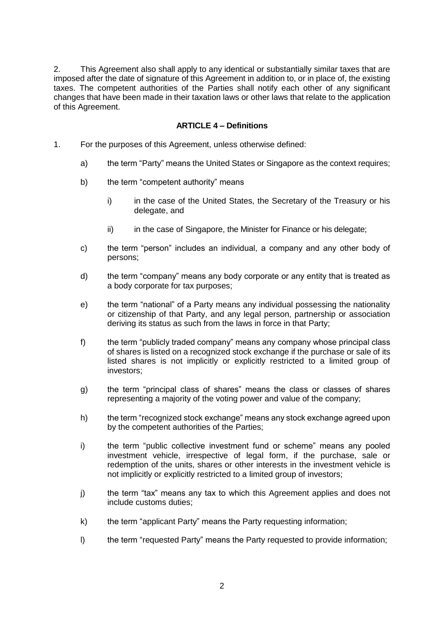2. This Agreement also shall apply to any identical or substantially similar taxes that are imposed after the date of signature of this Agreement in addition to, or in place of, the existing taxes. The competent authorities of the Parties shall notify each other of any significant changes that have been made in their taxation laws or other laws that relate to the application of this Agreement.

## **ARTICLE 4 – Definitions**

- 1. For the purposes of this Agreement, unless otherwise defined:
	- a) the term "Party" means the United States or Singapore as the context requires;
	- b) the term "competent authority" means
		- i) in the case of the United States, the Secretary of the Treasury or his delegate, and
		- ii) in the case of Singapore, the Minister for Finance or his delegate;
	- c) the term "person" includes an individual, a company and any other body of persons;
	- d) the term "company" means any body corporate or any entity that is treated as a body corporate for tax purposes;
	- e) the term "national" of a Party means any individual possessing the nationality or citizenship of that Party, and any legal person, partnership or association deriving its status as such from the laws in force in that Party;
	- f) the term "publicly traded company" means any company whose principal class of shares is listed on a recognized stock exchange if the purchase or sale of its listed shares is not implicitly or explicitly restricted to a limited group of investors;
	- g) the term "principal class of shares" means the class or classes of shares representing a majority of the voting power and value of the company;
	- h) the term "recognized stock exchange" means any stock exchange agreed upon by the competent authorities of the Parties;
	- i) the term "public collective investment fund or scheme" means any pooled investment vehicle, irrespective of legal form, if the purchase, sale or redemption of the units, shares or other interests in the investment vehicle is not implicitly or explicitly restricted to a limited group of investors;
	- j) the term "tax" means any tax to which this Agreement applies and does not include customs duties;
	- k) the term "applicant Party" means the Party requesting information;
	- l) the term "requested Party" means the Party requested to provide information;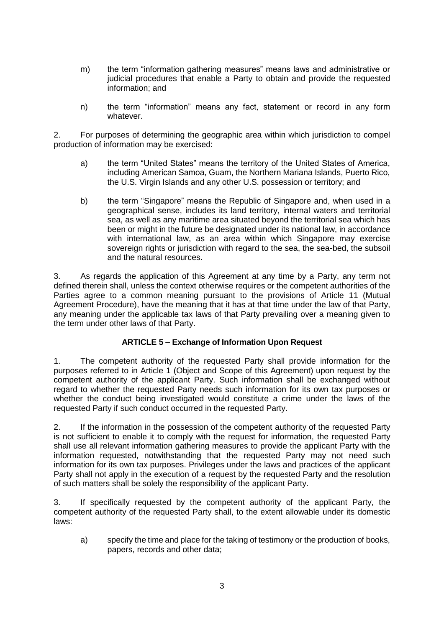- m) the term "information gathering measures" means laws and administrative or judicial procedures that enable a Party to obtain and provide the requested information; and
- n) the term "information" means any fact, statement or record in any form whatever.

2. For purposes of determining the geographic area within which jurisdiction to compel production of information may be exercised:

- a) the term "United States" means the territory of the United States of America, including American Samoa, Guam, the Northern Mariana Islands, Puerto Rico, the U.S. Virgin Islands and any other U.S. possession or territory; and
- b) the term "Singapore" means the Republic of Singapore and, when used in a geographical sense, includes its land territory, internal waters and territorial sea, as well as any maritime area situated beyond the territorial sea which has been or might in the future be designated under its national law, in accordance with international law, as an area within which Singapore may exercise sovereign rights or jurisdiction with regard to the sea, the sea-bed, the subsoil and the natural resources.

3. As regards the application of this Agreement at any time by a Party, any term not defined therein shall, unless the context otherwise requires or the competent authorities of the Parties agree to a common meaning pursuant to the provisions of Article 11 (Mutual Agreement Procedure), have the meaning that it has at that time under the law of that Party, any meaning under the applicable tax laws of that Party prevailing over a meaning given to the term under other laws of that Party.

# **ARTICLE 5 – Exchange of Information Upon Request**

1. The competent authority of the requested Party shall provide information for the purposes referred to in Article 1 (Object and Scope of this Agreement) upon request by the competent authority of the applicant Party. Such information shall be exchanged without regard to whether the requested Party needs such information for its own tax purposes or whether the conduct being investigated would constitute a crime under the laws of the requested Party if such conduct occurred in the requested Party.

2. If the information in the possession of the competent authority of the requested Party is not sufficient to enable it to comply with the request for information, the requested Party shall use all relevant information gathering measures to provide the applicant Party with the information requested, notwithstanding that the requested Party may not need such information for its own tax purposes. Privileges under the laws and practices of the applicant Party shall not apply in the execution of a request by the requested Party and the resolution of such matters shall be solely the responsibility of the applicant Party.

3. If specifically requested by the competent authority of the applicant Party, the competent authority of the requested Party shall, to the extent allowable under its domestic laws:

a) specify the time and place for the taking of testimony or the production of books, papers, records and other data;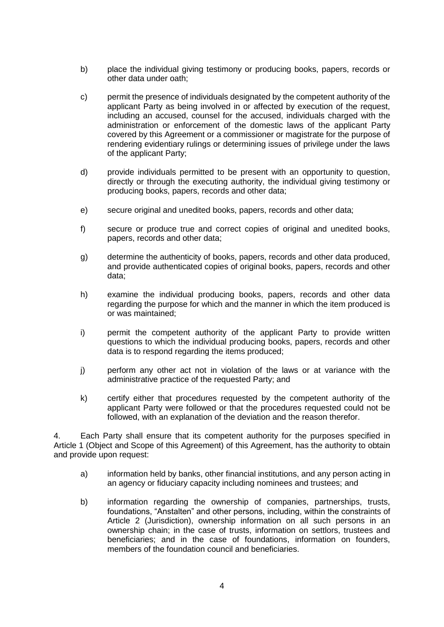- b) place the individual giving testimony or producing books, papers, records or other data under oath;
- c) permit the presence of individuals designated by the competent authority of the applicant Party as being involved in or affected by execution of the request, including an accused, counsel for the accused, individuals charged with the administration or enforcement of the domestic laws of the applicant Party covered by this Agreement or a commissioner or magistrate for the purpose of rendering evidentiary rulings or determining issues of privilege under the laws of the applicant Party;
- d) provide individuals permitted to be present with an opportunity to question, directly or through the executing authority, the individual giving testimony or producing books, papers, records and other data;
- e) secure original and unedited books, papers, records and other data;
- f) secure or produce true and correct copies of original and unedited books, papers, records and other data;
- g) determine the authenticity of books, papers, records and other data produced, and provide authenticated copies of original books, papers, records and other data;
- h) examine the individual producing books, papers, records and other data regarding the purpose for which and the manner in which the item produced is or was maintained;
- i) permit the competent authority of the applicant Party to provide written questions to which the individual producing books, papers, records and other data is to respond regarding the items produced;
- j) perform any other act not in violation of the laws or at variance with the administrative practice of the requested Party; and
- k) certify either that procedures requested by the competent authority of the applicant Party were followed or that the procedures requested could not be followed, with an explanation of the deviation and the reason therefor.

4. Each Party shall ensure that its competent authority for the purposes specified in Article 1 (Object and Scope of this Agreement) of this Agreement, has the authority to obtain and provide upon request:

- a) information held by banks, other financial institutions, and any person acting in an agency or fiduciary capacity including nominees and trustees; and
- b) information regarding the ownership of companies, partnerships, trusts, foundations, "Anstalten" and other persons, including, within the constraints of Article 2 (Jurisdiction), ownership information on all such persons in an ownership chain; in the case of trusts, information on settlors, trustees and beneficiaries; and in the case of foundations, information on founders, members of the foundation council and beneficiaries.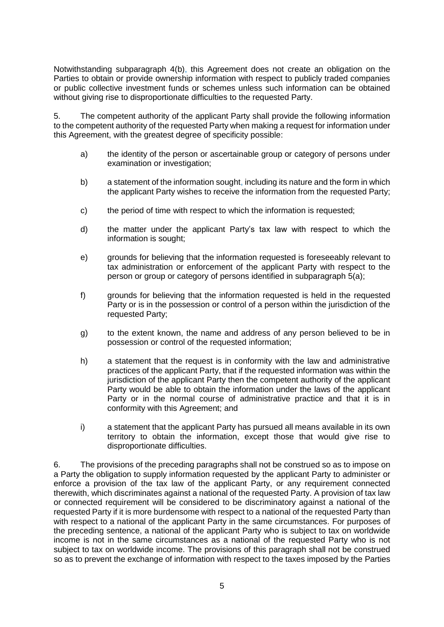Notwithstanding subparagraph 4(b), this Agreement does not create an obligation on the Parties to obtain or provide ownership information with respect to publicly traded companies or public collective investment funds or schemes unless such information can be obtained without giving rise to disproportionate difficulties to the requested Party.

5. The competent authority of the applicant Party shall provide the following information to the competent authority of the requested Party when making a request for information under this Agreement, with the greatest degree of specificity possible:

- a) the identity of the person or ascertainable group or category of persons under examination or investigation;
- b) a statement of the information sought, including its nature and the form in which the applicant Party wishes to receive the information from the requested Party;
- c) the period of time with respect to which the information is requested;
- d) the matter under the applicant Party's tax law with respect to which the information is sought;
- e) grounds for believing that the information requested is foreseeably relevant to tax administration or enforcement of the applicant Party with respect to the person or group or category of persons identified in subparagraph 5(a);
- f) grounds for believing that the information requested is held in the requested Party or is in the possession or control of a person within the jurisdiction of the requested Party;
- g) to the extent known, the name and address of any person believed to be in possession or control of the requested information;
- h) a statement that the request is in conformity with the law and administrative practices of the applicant Party, that if the requested information was within the jurisdiction of the applicant Party then the competent authority of the applicant Party would be able to obtain the information under the laws of the applicant Party or in the normal course of administrative practice and that it is in conformity with this Agreement; and
- i) a statement that the applicant Party has pursued all means available in its own territory to obtain the information, except those that would give rise to disproportionate difficulties.

6. The provisions of the preceding paragraphs shall not be construed so as to impose on a Party the obligation to supply information requested by the applicant Party to administer or enforce a provision of the tax law of the applicant Party, or any requirement connected therewith, which discriminates against a national of the requested Party. A provision of tax law or connected requirement will be considered to be discriminatory against a national of the requested Party if it is more burdensome with respect to a national of the requested Party than with respect to a national of the applicant Party in the same circumstances. For purposes of the preceding sentence, a national of the applicant Party who is subject to tax on worldwide income is not in the same circumstances as a national of the requested Party who is not subject to tax on worldwide income. The provisions of this paragraph shall not be construed so as to prevent the exchange of information with respect to the taxes imposed by the Parties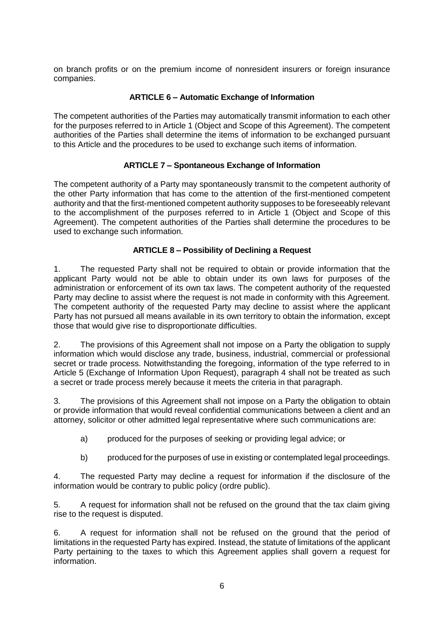on branch profits or on the premium income of nonresident insurers or foreign insurance companies.

# **ARTICLE 6 – Automatic Exchange of Information**

The competent authorities of the Parties may automatically transmit information to each other for the purposes referred to in Article 1 (Object and Scope of this Agreement). The competent authorities of the Parties shall determine the items of information to be exchanged pursuant to this Article and the procedures to be used to exchange such items of information.

# **ARTICLE 7 – Spontaneous Exchange of Information**

The competent authority of a Party may spontaneously transmit to the competent authority of the other Party information that has come to the attention of the first-mentioned competent authority and that the first-mentioned competent authority supposes to be foreseeably relevant to the accomplishment of the purposes referred to in Article 1 (Object and Scope of this Agreement). The competent authorities of the Parties shall determine the procedures to be used to exchange such information.

# **ARTICLE 8 – Possibility of Declining a Request**

1. The requested Party shall not be required to obtain or provide information that the applicant Party would not be able to obtain under its own laws for purposes of the administration or enforcement of its own tax laws. The competent authority of the requested Party may decline to assist where the request is not made in conformity with this Agreement. The competent authority of the requested Party may decline to assist where the applicant Party has not pursued all means available in its own territory to obtain the information, except those that would give rise to disproportionate difficulties.

2. The provisions of this Agreement shall not impose on a Party the obligation to supply information which would disclose any trade, business, industrial, commercial or professional secret or trade process. Notwithstanding the foregoing, information of the type referred to in Article 5 (Exchange of Information Upon Request), paragraph 4 shall not be treated as such a secret or trade process merely because it meets the criteria in that paragraph.

3. The provisions of this Agreement shall not impose on a Party the obligation to obtain or provide information that would reveal confidential communications between a client and an attorney, solicitor or other admitted legal representative where such communications are:

- a) produced for the purposes of seeking or providing legal advice; or
- b) produced for the purposes of use in existing or contemplated legal proceedings.

4. The requested Party may decline a request for information if the disclosure of the information would be contrary to public policy (ordre public).

5. A request for information shall not be refused on the ground that the tax claim giving rise to the request is disputed.

6. A request for information shall not be refused on the ground that the period of limitations in the requested Party has expired. Instead, the statute of limitations of the applicant Party pertaining to the taxes to which this Agreement applies shall govern a request for information.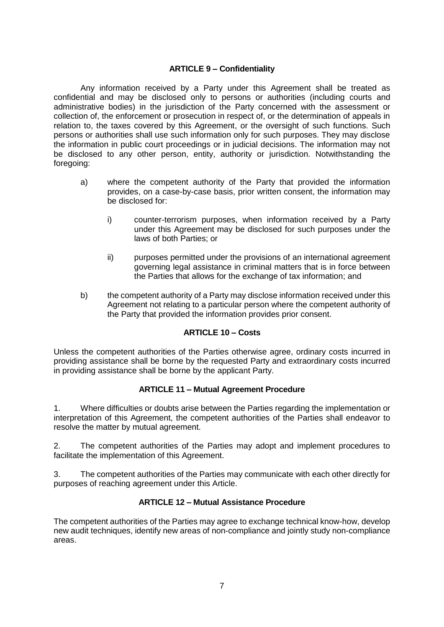## **ARTICLE 9 – Confidentiality**

Any information received by a Party under this Agreement shall be treated as confidential and may be disclosed only to persons or authorities (including courts and administrative bodies) in the jurisdiction of the Party concerned with the assessment or collection of, the enforcement or prosecution in respect of, or the determination of appeals in relation to, the taxes covered by this Agreement, or the oversight of such functions. Such persons or authorities shall use such information only for such purposes. They may disclose the information in public court proceedings or in judicial decisions. The information may not be disclosed to any other person, entity, authority or jurisdiction. Notwithstanding the foregoing:

- a) where the competent authority of the Party that provided the information provides, on a case-by-case basis, prior written consent, the information may be disclosed for:
	- i) counter-terrorism purposes, when information received by a Party under this Agreement may be disclosed for such purposes under the laws of both Parties; or
	- ii) purposes permitted under the provisions of an international agreement governing legal assistance in criminal matters that is in force between the Parties that allows for the exchange of tax information; and
- b) the competent authority of a Party may disclose information received under this Agreement not relating to a particular person where the competent authority of the Party that provided the information provides prior consent.

# **ARTICLE 10 – Costs**

Unless the competent authorities of the Parties otherwise agree, ordinary costs incurred in providing assistance shall be borne by the requested Party and extraordinary costs incurred in providing assistance shall be borne by the applicant Party.

### **ARTICLE 11 – Mutual Agreement Procedure**

1. Where difficulties or doubts arise between the Parties regarding the implementation or interpretation of this Agreement, the competent authorities of the Parties shall endeavor to resolve the matter by mutual agreement.

2. The competent authorities of the Parties may adopt and implement procedures to facilitate the implementation of this Agreement.

3. The competent authorities of the Parties may communicate with each other directly for purposes of reaching agreement under this Article.

### **ARTICLE 12 – Mutual Assistance Procedure**

The competent authorities of the Parties may agree to exchange technical know-how, develop new audit techniques, identify new areas of non-compliance and jointly study non-compliance areas.